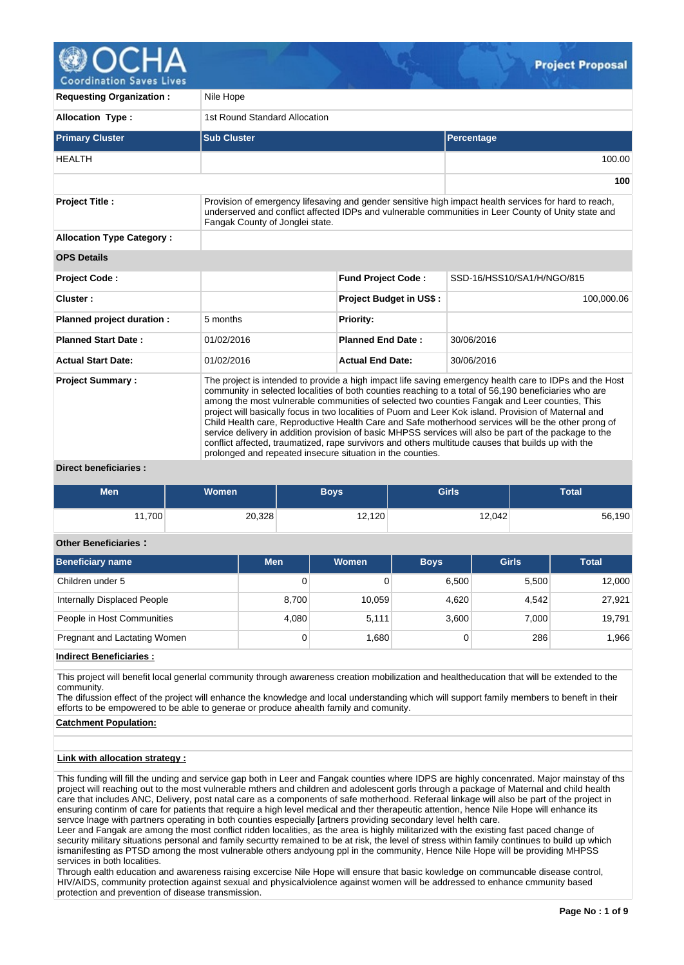

oordination Saves Li

| <b>Requesting Organization:</b>  | Nile Hope                                                                                                                                                                                                                                                                                                                                                                                                                                                                                                                                                                                                                                                                                                                                                                                                       |                                |                            |  |  |  |  |  |  |  |
|----------------------------------|-----------------------------------------------------------------------------------------------------------------------------------------------------------------------------------------------------------------------------------------------------------------------------------------------------------------------------------------------------------------------------------------------------------------------------------------------------------------------------------------------------------------------------------------------------------------------------------------------------------------------------------------------------------------------------------------------------------------------------------------------------------------------------------------------------------------|--------------------------------|----------------------------|--|--|--|--|--|--|--|
| <b>Allocation Type:</b>          | 1st Round Standard Allocation                                                                                                                                                                                                                                                                                                                                                                                                                                                                                                                                                                                                                                                                                                                                                                                   |                                |                            |  |  |  |  |  |  |  |
| <b>Primary Cluster</b>           | <b>Sub Cluster</b>                                                                                                                                                                                                                                                                                                                                                                                                                                                                                                                                                                                                                                                                                                                                                                                              |                                | <b>Percentage</b>          |  |  |  |  |  |  |  |
| <b>HEALTH</b>                    |                                                                                                                                                                                                                                                                                                                                                                                                                                                                                                                                                                                                                                                                                                                                                                                                                 |                                | 100.00                     |  |  |  |  |  |  |  |
|                                  |                                                                                                                                                                                                                                                                                                                                                                                                                                                                                                                                                                                                                                                                                                                                                                                                                 |                                | 100                        |  |  |  |  |  |  |  |
| <b>Project Title:</b>            | Provision of emergency lifesaving and gender sensitive high impact health services for hard to reach,<br>underserved and conflict affected IDPs and vulnerable communities in Leer County of Unity state and<br>Fangak County of Jonglei state.                                                                                                                                                                                                                                                                                                                                                                                                                                                                                                                                                                 |                                |                            |  |  |  |  |  |  |  |
| <b>Allocation Type Category:</b> |                                                                                                                                                                                                                                                                                                                                                                                                                                                                                                                                                                                                                                                                                                                                                                                                                 |                                |                            |  |  |  |  |  |  |  |
| <b>OPS Details</b>               |                                                                                                                                                                                                                                                                                                                                                                                                                                                                                                                                                                                                                                                                                                                                                                                                                 |                                |                            |  |  |  |  |  |  |  |
| Project Code:                    |                                                                                                                                                                                                                                                                                                                                                                                                                                                                                                                                                                                                                                                                                                                                                                                                                 | <b>Fund Project Code:</b>      | SSD-16/HSS10/SA1/H/NGO/815 |  |  |  |  |  |  |  |
| Cluster:                         |                                                                                                                                                                                                                                                                                                                                                                                                                                                                                                                                                                                                                                                                                                                                                                                                                 | <b>Project Budget in US\$:</b> | 100,000.06                 |  |  |  |  |  |  |  |
| Planned project duration :       | 5 months                                                                                                                                                                                                                                                                                                                                                                                                                                                                                                                                                                                                                                                                                                                                                                                                        | <b>Priority:</b>               |                            |  |  |  |  |  |  |  |
| <b>Planned Start Date:</b>       | 01/02/2016                                                                                                                                                                                                                                                                                                                                                                                                                                                                                                                                                                                                                                                                                                                                                                                                      | <b>Planned End Date:</b>       | 30/06/2016                 |  |  |  |  |  |  |  |
| <b>Actual Start Date:</b>        | 01/02/2016                                                                                                                                                                                                                                                                                                                                                                                                                                                                                                                                                                                                                                                                                                                                                                                                      | <b>Actual End Date:</b>        | 30/06/2016                 |  |  |  |  |  |  |  |
| <b>Project Summary:</b>          | The project is intended to provide a high impact life saving emergency health care to IDPs and the Host<br>community in selected localities of both counties reaching to a total of 56,190 beneficiaries who are<br>among the most vulnerable communities of selected two counties Fangak and Leer counties, This<br>project will basically focus in two localities of Puom and Leer Kok island. Provision of Maternal and<br>Child Health care, Reproductive Health Care and Safe motherhood services will be the other prong of<br>service delivery in addition provision of basic MHPSS services will also be part of the package to the<br>conflict affected, traumatized, rape survivors and others multitude causes that builds up with the<br>prolonged and repeated insecure situation in the counties. |                                |                            |  |  |  |  |  |  |  |

### **Direct beneficiaries :**

| Men   | <b>Women</b> | <b>Boys</b> | <b>Girls</b> | <b>Total</b> |
|-------|--------------|-------------|--------------|--------------|
| 1,700 | 20,328       | 12,120      | 12,042       | 56,190       |

### **Other Beneficiaries :**

| <b>Beneficiary name</b>      | <b>Men</b> | Women  | <b>Boys</b> | <b>Girls</b> | <b>Total</b> |
|------------------------------|------------|--------|-------------|--------------|--------------|
| Children under 5             | 0          |        | 6.500       | 5,500        | 12.000       |
| Internally Displaced People  | 8,700      | 10,059 | 4,620       | 4.542        | 27,921       |
| People in Host Communities   | 4,080      | 5,111  | 3,600       | 7,000        | 19,791       |
| Pregnant and Lactating Women | 0          | 1,680  |             | 286          | 1,966        |

**Indirect Beneficiaries :**

This project will benefit local generlal community through awareness creation mobilization and healtheducation that will be extended to the community.

The difussion effect of the project will enhance the knowledge and local understanding which will support family members to beneft in their efforts to be empowered to be able to generae or produce ahealth family and comunity.

### **Catchment Population:**

#### **Link with allocation strategy :**

This funding will fill the unding and service gap both in Leer and Fangak counties where IDPS are highly concenrated. Major mainstay of ths project will reaching out to the most vulnerable mthers and children and adolescent gorls through a package of Maternal and child health care that includes ANC, Delivery, post natal care as a components of safe motherhood. Referaal linkage will also be part of the project in ensuring continm of care for patients that require a high level medical and ther therapeutic attention, hence Nile Hope will enhance its servce lnage with partners operating in both counties especially [artners providing secondary level helth care.

Leer and Fangak are among the most conflict ridden localities, as the area is highly militarized with the existing fast paced change of security military situations personal and family securtty remained to be at risk, the level of stress within family continues to build up which ismanifesting as PTSD among the most vulnerable others andyoung ppl in the community, Hence Nile Hope will be providing MHPSS services in both localities.

Through ealth education and awareness raising excercise Nile Hope will ensure that basic kowledge on communcable disease control, HIV/AIDS, community protection against sexual and physicalviolence against women will be addressed to enhance cmmunity based protection and prevention of disease transmission.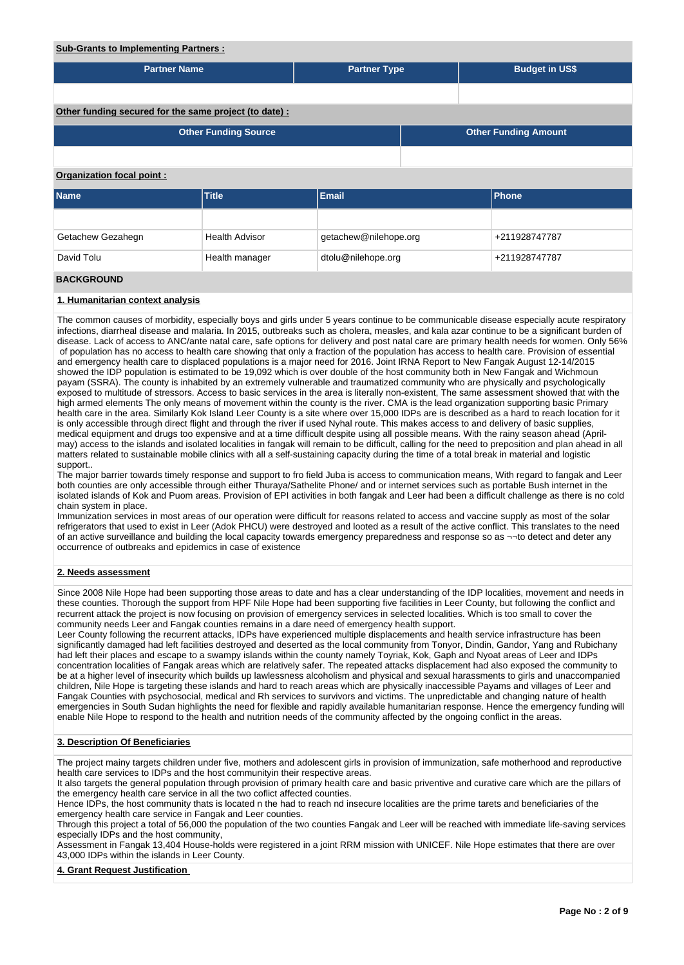## **Sub-Grants to Implementing Partners :**

| <u>ouv orants to implementing raithers.</u>            |                             |                       |  |                             |  |  |  |  |
|--------------------------------------------------------|-----------------------------|-----------------------|--|-----------------------------|--|--|--|--|
| <b>Partner Name</b>                                    |                             | <b>Partner Type</b>   |  | <b>Budget in US\$</b>       |  |  |  |  |
|                                                        |                             |                       |  |                             |  |  |  |  |
| Other funding secured for the same project (to date) : |                             |                       |  |                             |  |  |  |  |
|                                                        | <b>Other Funding Source</b> |                       |  | <b>Other Funding Amount</b> |  |  |  |  |
|                                                        |                             |                       |  |                             |  |  |  |  |
| <b>Organization focal point:</b>                       |                             |                       |  |                             |  |  |  |  |
| <b>Name</b>                                            | <b>Title</b>                | <b>Email</b>          |  | <b>Phone</b>                |  |  |  |  |
|                                                        |                             |                       |  |                             |  |  |  |  |
| Getachew Gezahegn                                      | <b>Health Advisor</b>       | getachew@nilehope.org |  | +211928747787               |  |  |  |  |
| David Tolu                                             | Health manager              | dtolu@nilehope.org    |  | +211928747787               |  |  |  |  |
| <b>BACKGROUND</b>                                      |                             |                       |  |                             |  |  |  |  |

#### **1. Humanitarian context analysis**

The common causes of morbidity, especially boys and girls under 5 years continue to be communicable disease especially acute respiratory infections, diarrheal disease and malaria. In 2015, outbreaks such as cholera, measles, and kala azar continue to be a significant burden of disease. Lack of access to ANC/ante natal care, safe options for delivery and post natal care are primary health needs for women. Only 56% of population has no access to health care showing that only a fraction of the population has access to health care. Provision of essential and emergency health care to displaced populations is a major need for 2016. Joint IRNA Report to New Fangak August 12-14/2015 showed the IDP population is estimated to be 19,092 which is over double of the host community both in New Fangak and Wichmoun payam (SSRA). The county is inhabited by an extremely vulnerable and traumatized community who are physically and psychologically exposed to multitude of stressors. Access to basic services in the area is literally non-existent, The same assessment showed that with the high armed elements The only means of movement within the county is the river. CMA is the lead organization supporting basic Primary health care in the area. Similarly Kok Island Leer County is a site where over 15,000 IDPs are is described as a hard to reach location for it is only accessible through direct flight and through the river if used Nyhal route. This makes access to and delivery of basic supplies, medical equipment and drugs too expensive and at a time difficult despite using all possible means. With the rainy season ahead (Aprilmay) access to the islands and isolated localities in fangak will remain to be difficult, calling for the need to preposition and plan ahead in all matters related to sustainable mobile clinics with all a self-sustaining capacity during the time of a total break in material and logistic support..

The major barrier towards timely response and support to fro field Juba is access to communication means, With regard to fangak and Leer both counties are only accessible through either Thuraya/Sathelite Phone/ and or internet services such as portable Bush internet in the isolated islands of Kok and Puom areas. Provision of EPI activities in both fangak and Leer had been a difficult challenge as there is no cold chain system in place.

Immunization services in most areas of our operation were difficult for reasons related to access and vaccine supply as most of the solar refrigerators that used to exist in Leer (Adok PHCU) were destroyed and looted as a result of the active conflict. This translates to the need of an active surveillance and building the local capacity towards emergency preparedness and response so as ¬¬to detect and deter any occurrence of outbreaks and epidemics in case of existence

#### **2. Needs assessment**

Since 2008 Nile Hope had been supporting those areas to date and has a clear understanding of the IDP localities, movement and needs in these counties. Thorough the support from HPF Nile Hope had been supporting five facilities in Leer County, but following the conflict and recurrent attack the project is now focusing on provision of emergency services in selected localities. Which is too small to cover the community needs Leer and Fangak counties remains in a dare need of emergency health support.

Leer County following the recurrent attacks, IDPs have experienced multiple displacements and health service infrastructure has been significantly damaged had left facilities destroyed and deserted as the local community from Tonyor, Dindin, Gandor, Yang and Rubichany had left their places and escape to a swampy islands within the county namely Toyriak, Kok, Gaph and Nyoat areas of Leer and IDPs concentration localities of Fangak areas which are relatively safer. The repeated attacks displacement had also exposed the community to be at a higher level of insecurity which builds up lawlessness alcoholism and physical and sexual harassments to girls and unaccompanied children, Nile Hope is targeting these islands and hard to reach areas which are physically inaccessible Payams and villages of Leer and Fangak Counties with psychosocial, medical and Rh services to survivors and victims. The unpredictable and changing nature of health emergencies in South Sudan highlights the need for flexible and rapidly available humanitarian response. Hence the emergency funding will enable Nile Hope to respond to the health and nutrition needs of the community affected by the ongoing conflict in the areas.

### **3. Description Of Beneficiaries**

The project mainy targets children under five, mothers and adolescent girls in provision of immunization, safe motherhood and reproductive health care services to IDPs and the host communityin their respective areas.

It also targets the general population through provision of primary health care and basic priventive and curative care which are the pillars of the emergency health care service in all the two coflict affected counties.

Hence IDPs, the host community thats is located n the had to reach nd insecure localities are the prime tarets and beneficiaries of the emergency health care service in Fangak and Leer counties.

Through this project a total of 56,000 the population of the two counties Fangak and Leer will be reached with immediate life-saving services especially IDPs and the host community,

Assessment in Fangak 13,404 House-holds were registered in a joint RRM mission with UNICEF. Nile Hope estimates that there are over 43,000 IDPs within the islands in Leer County.

#### **4. Grant Request Justification**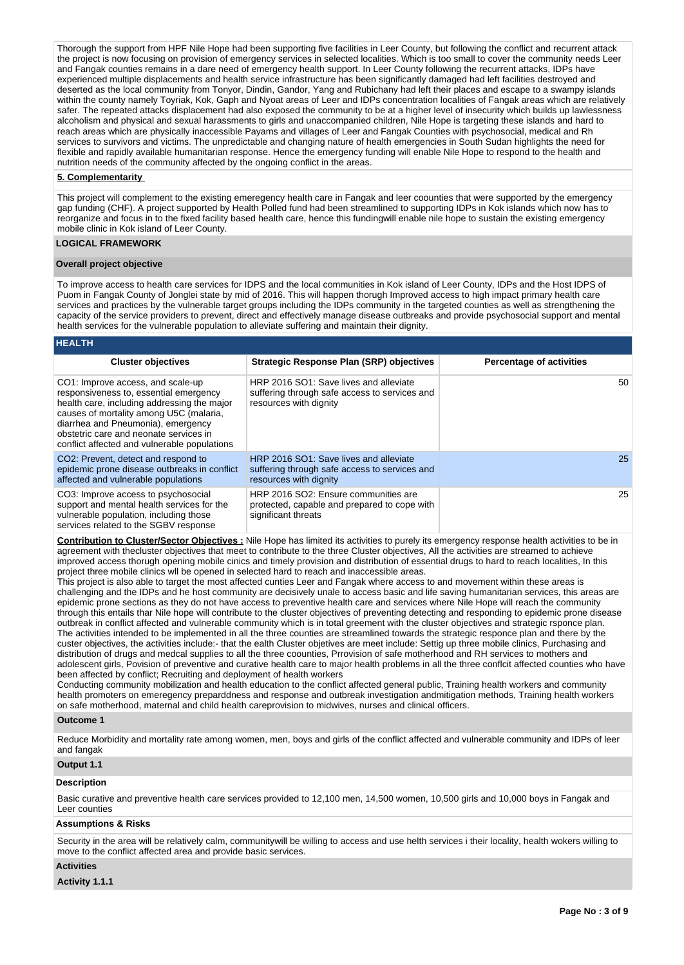Thorough the support from HPF Nile Hope had been supporting five facilities in Leer County, but following the conflict and recurrent attack the project is now focusing on provision of emergency services in selected localities. Which is too small to cover the community needs Leer and Fangak counties remains in a dare need of emergency health support. In Leer County following the recurrent attacks, IDPs have experienced multiple displacements and health service infrastructure has been significantly damaged had left facilities destroyed and deserted as the local community from Tonyor, Dindin, Gandor, Yang and Rubichany had left their places and escape to a swampy islands within the county namely Toyriak, Kok, Gaph and Nyoat areas of Leer and IDPs concentration localities of Fangak areas which are relatively safer. The repeated attacks displacement had also exposed the community to be at a higher level of insecurity which builds up lawlessness alcoholism and physical and sexual harassments to girls and unaccompanied children, Nile Hope is targeting these islands and hard to reach areas which are physically inaccessible Payams and villages of Leer and Fangak Counties with psychosocial, medical and Rh services to survivors and victims. The unpredictable and changing nature of health emergencies in South Sudan highlights the need for flexible and rapidly available humanitarian response. Hence the emergency funding will enable Nile Hope to respond to the health and nutrition needs of the community affected by the ongoing conflict in the areas.

### **5. Complementarity**

This project will complement to the existing emeregency health care in Fangak and leer coounties that were supported by the emergency gap funding (CHF). A project supported by Health Polled fund had been streamlined to supporting IDPs in Kok islands which now has to reorganize and focus in to the fixed facility based health care, hence this fundingwill enable nile hope to sustain the existing emergency mobile clinic in Kok island of Leer County.

## **LOGICAL FRAMEWORK**

#### **Overall project objective**

To improve access to health care services for IDPS and the local communities in Kok island of Leer County, IDPs and the Host IDPS of Puom in Fangak County of Jonglei state by mid of 2016. This will happen thorugh Improved access to high impact primary health care services and practices by the vulnerable target groups including the IDPs community in the targeted counties as well as strengthening the capacity of the service providers to prevent, direct and effectively manage disease outbreaks and provide psychosocial support and mental health services for the vulnerable population to alleviate suffering and maintain their dignity.

| <b>HEALTH</b>                                                                                                                                                                                                                                                                                         |                                                                                                                                              |                                 |
|-------------------------------------------------------------------------------------------------------------------------------------------------------------------------------------------------------------------------------------------------------------------------------------------------------|----------------------------------------------------------------------------------------------------------------------------------------------|---------------------------------|
| <b>Cluster objectives</b>                                                                                                                                                                                                                                                                             | <b>Strategic Response Plan (SRP) objectives</b>                                                                                              | <b>Percentage of activities</b> |
| CO1: Improve access, and scale-up<br>responsiveness to, essential emergency<br>health care, including addressing the major<br>causes of mortality among U5C (malaria,<br>diarrhea and Pneumonia), emergency<br>obstetric care and neonate services in<br>conflict affected and vulnerable populations | HRP 2016 SO1: Save lives and alleviate<br>suffering through safe access to services and<br>resources with dignity                            | 50                              |
| CO <sub>2</sub> : Prevent, detect and respond to<br>epidemic prone disease outbreaks in conflict<br>affected and vulnerable populations                                                                                                                                                               | HRP 2016 SO1: Save lives and alleviate<br>suffering through safe access to services and<br>resources with dignity                            | 25                              |
| CO3: Improve access to psychosocial<br>support and mental health services for the<br>vulnerable population, including those<br>services related to the SGBV response                                                                                                                                  | HRP 2016 SO2: Ensure communities are<br>protected, capable and prepared to cope with<br>significant threats                                  | 25                              |
|                                                                                                                                                                                                                                                                                                       | Contribution to Clueter/Cooter Objectives : Nile Hene bee limited its petivities to purely its emergency response boolth petivities to be in |                                 |

**Contribution to Cluster/Sector Objectives :** Nile Hope has limited its activities to purely its emergency response health activities to be in agreement with thecluster objectives that meet to contribute to the three Cluster objectives, All the activities are streamed to achieve improved access thorugh opening mobile cinics and timely provision and distribution of essential drugs to hard to reach localities, In this project three mobile clinics wll be opened in selected hard to reach and inaccessible areas.

This project is also able to target the most affected cunties Leer and Fangak where access to and movement within these areas is challenging and the IDPs and he host community are decisively unale to access basic and life saving humanitarian services, this areas are epidemic prone sections as they do not have access to preventive health care and services where Nile Hope will reach the community through this entails thar Nile hope will contribute to the cluster objectives of preventing detecting and responding to epidemic prone disease outbreak in conflict affected and vulnerable community which is in total greement with the cluster objectives and strategic rsponce plan. The activities intended to be implemented in all the three counties are streamlined towards the strategic responce plan and there by the custer objectives, the activities include:- that the ealth Cluster objetives are meet include: Settig up three mobile clinics, Purchasing and distribution of drugs and medcal supplies to all the three coounties, Prrovision of safe motherhood and RH services to mothers and adolescent girls, Povision of preventive and curative health care to major health problems in all the three conflcit affected counties who have been affected by conflict; Recruiting and deployment of health workers

Conducting community mobilization and health education to the conflict affected general public, Training health workers and community health promoters on emeregency preparddness and response and outbreak investigation andmitigation methods, Training health workers on safe motherhood, maternal and child health careprovision to midwives, nurses and clinical officers.

#### **Outcome 1**

Reduce Morbidity and mortality rate among women, men, boys and girls of the conflict affected and vulnerable community and IDPs of leer and fangak

# **Output 1.1**

# **Description**

Basic curative and preventive health care services provided to 12,100 men, 14,500 women, 10,500 girls and 10,000 boys in Fangak and Leer counties

#### **Assumptions & Risks**

Security in the area will be relatively calm, communitywill be willing to access and use helth services i their locality, health wokers willing to move to the conflict affected area and provide basic services.

### **Activities**

**Activity 1.1.1**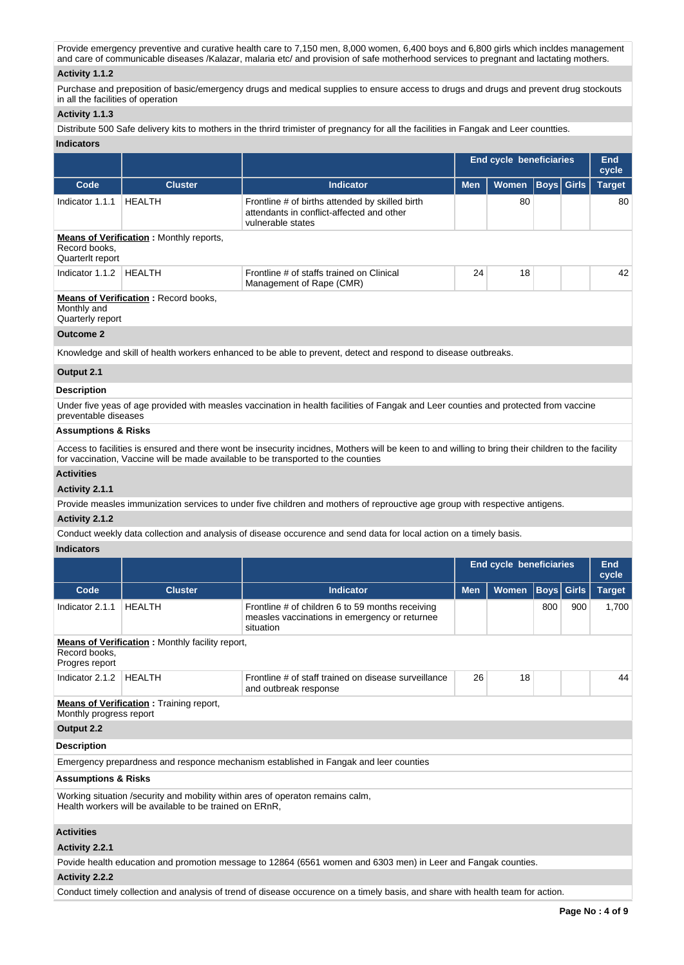Provide emergency preventive and curative health care to 7,150 men, 8,000 women, 6,400 boys and 6,800 girls which incldes management and care of communicable diseases /Kalazar, malaria etc/ and provision of safe motherhood services to pregnant and lactating mothers.

### **Activity 1.1.2**

Purchase and preposition of basic/emergency drugs and medical supplies to ensure access to drugs and drugs and prevent drug stockouts in all the facilities of operation

### **Activity 1.1.3**

Distribute 500 Safe delivery kits to mothers in the thrird trimister of pregnancy for all the facilities in Fangak and Leer countties. **Indicators**

|                                   |                                                |                                                                                                                   |            | <b>End cycle beneficiaries</b> |                   | End<br>cycle  |
|-----------------------------------|------------------------------------------------|-------------------------------------------------------------------------------------------------------------------|------------|--------------------------------|-------------------|---------------|
| Code                              | <b>Cluster</b>                                 | <b>Indicator</b>                                                                                                  | <b>Men</b> | <b>Women</b>                   | <b>Boys Girls</b> | <b>Target</b> |
| Indicator 1.1.1                   | HEALTH                                         | Frontline # of births attended by skilled birth<br>attendants in conflict-affected and other<br>vulnerable states |            | 80                             |                   | 80            |
| Record books.<br>Quarterlt report | <b>Means of Verification:</b> Monthly reports, |                                                                                                                   |            |                                |                   |               |
| Indicator 1.1.2                   | HEALTH                                         | Frontline # of staffs trained on Clinical<br>Management of Rape (CMR)                                             | 24         | 18                             |                   | 42            |
| Monthly and<br>Quarterly report   | <b>Means of Verification: Record books,</b>    |                                                                                                                   |            |                                |                   |               |

### **Outcome 2**

Knowledge and skill of health workers enhanced to be able to prevent, detect and respond to disease outbreaks.

### **Output 2.1**

#### **Description**

Under five yeas of age provided with measles vaccination in health facilities of Fangak and Leer counties and protected from vaccine preventable diseases

### **Assumptions & Risks**

Access to facilities is ensured and there wont be insecurity incidnes, Mothers will be keen to and willing to bring their children to the facility for vaccination, Vaccine will be made available to be transported to the counties

### **Activities**

### **Activity 2.1.1**

Provide measles immunization services to under five children and mothers of reprouctive age group with respective antigens.

### **Activity 2.1.2**

Conduct weekly data collection and analysis of disease occurence and send data for local action on a timely basis.

## **Indicators**

|                                                                                                                                           |                                                                                                            |                                                                                                                | <b>End cycle beneficiaries</b> |              |             |              | <b>End</b><br>cycle |  |
|-------------------------------------------------------------------------------------------------------------------------------------------|------------------------------------------------------------------------------------------------------------|----------------------------------------------------------------------------------------------------------------|--------------------------------|--------------|-------------|--------------|---------------------|--|
| Code                                                                                                                                      | <b>Cluster</b>                                                                                             | <b>Indicator</b>                                                                                               | <b>Men</b>                     | <b>Women</b> | <b>Boys</b> | <b>Girls</b> | <b>Target</b>       |  |
| Indicator 2.1.1                                                                                                                           | <b>HEALTH</b>                                                                                              | Frontline # of children 6 to 59 months receiving<br>measles vaccinations in emergency or returnee<br>situation |                                | 900          | 1,700       |              |                     |  |
| <b>Means of Verification:</b> Monthly facility report,<br>Record books.<br>Progres report                                                 |                                                                                                            |                                                                                                                |                                |              |             |              |                     |  |
| Indicator 2.1.2                                                                                                                           | <b>HEALTH</b><br>26<br>18<br>Frontline # of staff trained on disease surveillance<br>and outbreak response |                                                                                                                |                                |              |             |              | 44                  |  |
| <b>Means of Verification:</b> Training report,<br>Monthly progress report                                                                 |                                                                                                            |                                                                                                                |                                |              |             |              |                     |  |
| Output 2.2                                                                                                                                |                                                                                                            |                                                                                                                |                                |              |             |              |                     |  |
| <b>Description</b>                                                                                                                        |                                                                                                            |                                                                                                                |                                |              |             |              |                     |  |
|                                                                                                                                           |                                                                                                            | Emergency prepardness and responce mechanism established in Fangak and leer counties                           |                                |              |             |              |                     |  |
| <b>Assumptions &amp; Risks</b>                                                                                                            |                                                                                                            |                                                                                                                |                                |              |             |              |                     |  |
| Working situation /security and mobility within ares of operaton remains calm,<br>Health workers will be available to be trained on ERnR. |                                                                                                            |                                                                                                                |                                |              |             |              |                     |  |
| <b>Activities</b>                                                                                                                         |                                                                                                            |                                                                                                                |                                |              |             |              |                     |  |
| Activity 2.2.1                                                                                                                            |                                                                                                            |                                                                                                                |                                |              |             |              |                     |  |
|                                                                                                                                           |                                                                                                            | Povide health education and promotion message to 12864 (6561 women and 6303 men) in Leer and Fangak counties.  |                                |              |             |              |                     |  |

# **Activity 2.2.2**

Conduct timely collection and analysis of trend of disease occurence on a timely basis, and share with health team for action.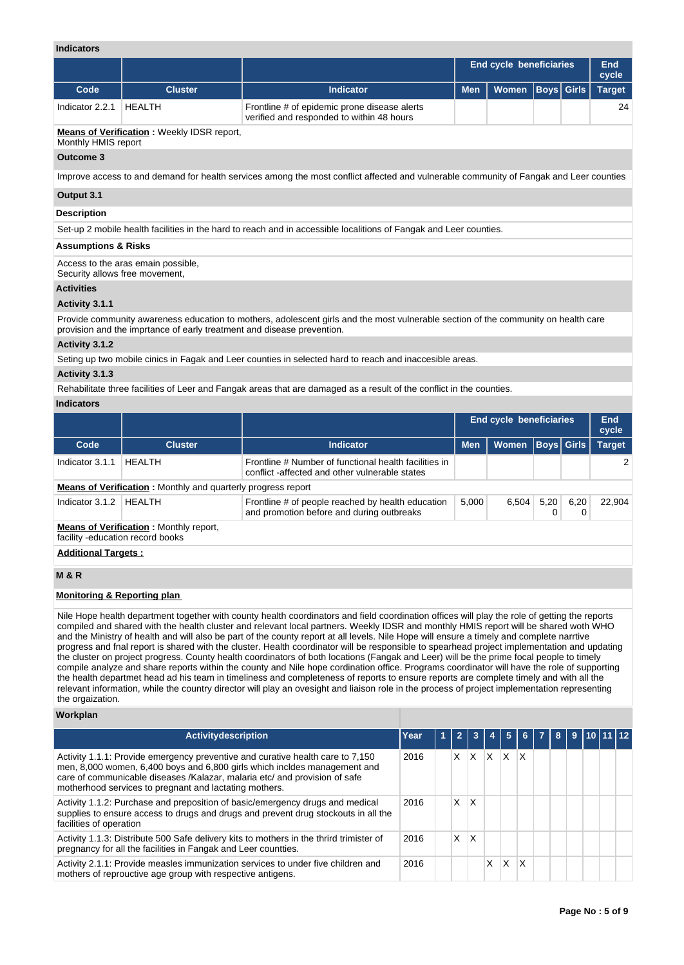## **Indicators**

| murawia                                                                                                           |                |                                                                                                                                        |                                |              |                   |  |                     |  |
|-------------------------------------------------------------------------------------------------------------------|----------------|----------------------------------------------------------------------------------------------------------------------------------------|--------------------------------|--------------|-------------------|--|---------------------|--|
|                                                                                                                   |                |                                                                                                                                        | <b>End cycle beneficiaries</b> |              |                   |  | <b>End</b><br>cycle |  |
| Code                                                                                                              | <b>Cluster</b> | Indicator                                                                                                                              | <b>Men</b>                     | <b>Women</b> | <b>Boys</b> Girls |  | <b>Target</b>       |  |
| Indicator 2.2.1                                                                                                   | <b>HEALTH</b>  | Frontline # of epidemic prone disease alerts<br>verified and responded to within 48 hours                                              |                                |              |                   |  | 24                  |  |
| <b>Means of Verification:</b> Weekly IDSR report,<br>Monthly HMIS report                                          |                |                                                                                                                                        |                                |              |                   |  |                     |  |
| Outcome 3                                                                                                         |                |                                                                                                                                        |                                |              |                   |  |                     |  |
|                                                                                                                   |                | Improve access to and demand for health services among the most conflict affected and vulnerable community of Fangak and Leer counties |                                |              |                   |  |                     |  |
| Output 3.1                                                                                                        |                |                                                                                                                                        |                                |              |                   |  |                     |  |
| <b>Description</b>                                                                                                |                |                                                                                                                                        |                                |              |                   |  |                     |  |
| Set-up 2 mobile health facilities in the hard to reach and in accessible localitions of Fangak and Leer counties. |                |                                                                                                                                        |                                |              |                   |  |                     |  |
| <b>Assumptions &amp; Risks</b>                                                                                    |                |                                                                                                                                        |                                |              |                   |  |                     |  |

Access to the aras emain possible,

Security allows free movement,

## **Activities**

## **Activity 3.1.1**

Provide community awareness education to mothers, adolescent girls and the most vulnerable section of the community on health care provision and the imprtance of early treatment and disease prevention.

### **Activity 3.1.2**

Seting up two mobile cinics in Fagak and Leer counties in selected hard to reach and inaccesible areas.

### **Activity 3.1.3**

Rehabilitate three facilities of Leer and Fangak areas that are damaged as a result of the conflict in the counties.

### **Indicators**

|                                                                     |                                               |                                                                                                        | <b>End cycle beneficiaries</b> |              |           |             | End<br>cycle  |  |  |
|---------------------------------------------------------------------|-----------------------------------------------|--------------------------------------------------------------------------------------------------------|--------------------------------|--------------|-----------|-------------|---------------|--|--|
| Code                                                                | <b>Cluster</b>                                | <b>Indicator</b>                                                                                       | <b>Men</b>                     | <b>Women</b> |           | Boys  Girls | <b>Target</b> |  |  |
| Indicator 3.1.1                                                     | HEALTH                                        | Frontline # Number of functional health facilities in<br>conflict-affected and other vulnerable states |                                |              |           |             |               |  |  |
| <b>Means of Verification:</b> Monthly and quarterly progress report |                                               |                                                                                                        |                                |              |           |             |               |  |  |
| Indicator 3.1.2                                                     | HEALTH                                        | Frontline # of people reached by health education<br>and promotion before and during outbreaks         | 5,000                          | 6,504        | 5,20<br>0 | 6,20        | 22,904        |  |  |
| facility -education record books                                    | <b>Means of Verification:</b> Monthly report, |                                                                                                        |                                |              |           |             |               |  |  |
| <b>Additional Targets:</b>                                          |                                               |                                                                                                        |                                |              |           |             |               |  |  |
| <b>M&amp;R</b>                                                      |                                               |                                                                                                        |                                |              |           |             |               |  |  |

### **Monitoring & Reporting plan**

Nile Hope health department together with county health coordinators and field coordination offices will play the role of getting the reports compiled and shared with the health cluster and relevant local partners. Weekly IDSR and monthly HMIS report will be shared woth WHO and the Ministry of health and will also be part of the county report at all levels. Nile Hope will ensure a timely and complete narrtive progress and fnal report is shared with the cluster. Health coordinator will be responsible to spearhead project implementation and updating the cluster on project progress. County health coordinators of both locations (Fangak and Leer) will be the prime focal people to timely compile analyze and share reports within the county and Nile hope cordination office. Programs coordinator will have the role of supporting the health departmet head ad his team in timeliness and completeness of reports to ensure reports are complete timely and with all the relevant information, while the country director will play an ovesight and liaison role in the process of project implementation representing the orgaization.

### **Workplan**

| <b>Activitydescription</b>                                                                                                                                                                                                                                                                          | Year | $\mathbf{z}$ | -3           |   | -5 | -6 I | $\mathbf{F}$ | -8 I |  | 9 10 11 12 |  |
|-----------------------------------------------------------------------------------------------------------------------------------------------------------------------------------------------------------------------------------------------------------------------------------------------------|------|--------------|--------------|---|----|------|--------------|------|--|------------|--|
| Activity 1.1.1: Provide emergency preventive and curative health care to 7,150<br>men, 8,000 women, 6,400 boys and 6,800 girls which incldes management and<br>care of communicable diseases /Kalazar, malaria etc/ and provision of safe<br>motherhood services to pregnant and lactating mothers. | 2016 | X.           | X            | X | X  | X    |              |      |  |            |  |
| Activity 1.1.2: Purchase and preposition of basic/emergency drugs and medical<br>supplies to ensure access to drugs and drugs and prevent drug stockouts in all the<br>facilities of operation                                                                                                      | 2016 | X            | $\mathsf{X}$ |   |    |      |              |      |  |            |  |
| Activity 1.1.3: Distribute 500 Safe delivery kits to mothers in the thrird trimister of<br>pregnancy for all the facilities in Fangak and Leer countties.                                                                                                                                           | 2016 | X.           | X            |   |    |      |              |      |  |            |  |
| Activity 2.1.1: Provide measles immunization services to under five children and<br>mothers of reprouctive age group with respective antigens.                                                                                                                                                      | 2016 |              |              | X | x  | x    |              |      |  |            |  |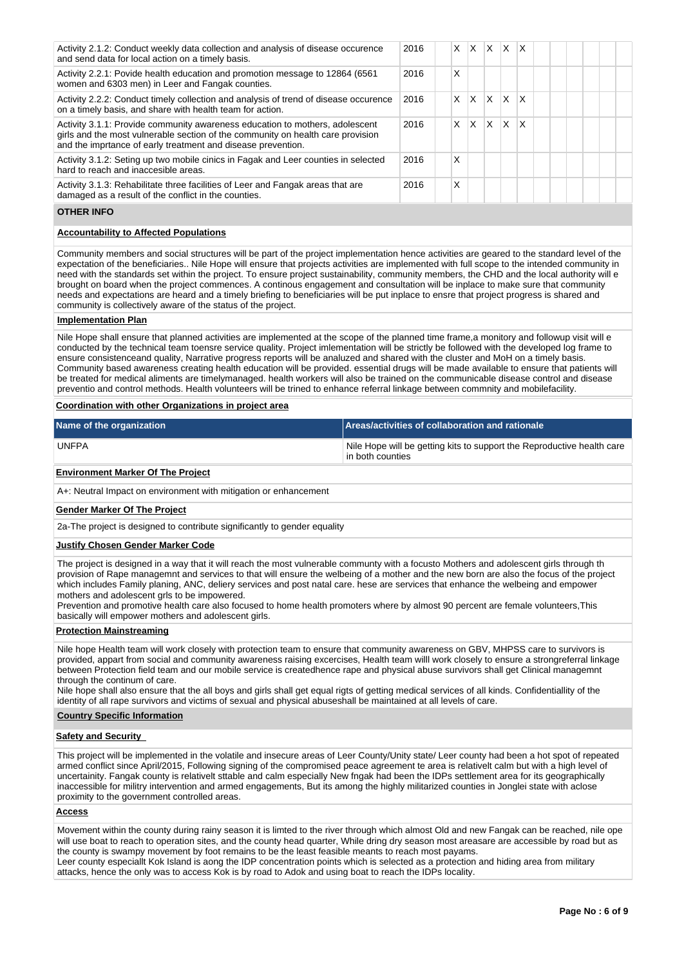| Activity 2.1.2: Conduct weekly data collection and analysis of disease occurence<br>and send data for local action on a timely basis.                                                                                           | 2016 | X. | X | ΙX.          | $\mathsf{X}$ | $\mathsf{I} \mathsf{X}$ |  |  |  |
|---------------------------------------------------------------------------------------------------------------------------------------------------------------------------------------------------------------------------------|------|----|---|--------------|--------------|-------------------------|--|--|--|
| Activity 2.2.1: Povide health education and promotion message to 12864 (6561)<br>women and 6303 men) in Leer and Fangak counties.                                                                                               | 2016 | x  |   |              |              |                         |  |  |  |
| Activity 2.2.2: Conduct timely collection and analysis of trend of disease occurence<br>on a timely basis, and share with health team for action.                                                                               | 2016 | X. | X | $\mathsf{X}$ | ΙX.          | $\mathsf{I} \mathsf{X}$ |  |  |  |
| Activity 3.1.1: Provide community awareness education to mothers, adolescent<br>girls and the most vulnerable section of the community on health care provision<br>and the imprtance of early treatment and disease prevention. | 2016 | X  | X | ΙX.          | ΙX           | ΙX                      |  |  |  |
| Activity 3.1.2: Seting up two mobile cinics in Fagak and Leer counties in selected<br>hard to reach and inaccesible areas.                                                                                                      | 2016 | x  |   |              |              |                         |  |  |  |
| Activity 3.1.3: Rehabilitate three facilities of Leer and Fangak areas that are<br>damaged as a result of the conflict in the counties.                                                                                         | 2016 | x  |   |              |              |                         |  |  |  |
|                                                                                                                                                                                                                                 |      |    |   |              |              |                         |  |  |  |

### **OTHER INFO**

### **Accountability to Affected Populations**

Community members and social structures will be part of the project implementation hence activities are geared to the standard level of the expectation of the beneficiaries.. Nile Hope will ensure that projects activities are implemented with full scope to the intended community in need with the standards set within the project. To ensure project sustainability, community members, the CHD and the local authority will e brought on board when the project commences. A continous engagement and consultation will be inplace to make sure that community needs and expectations are heard and a timely briefing to beneficiaries will be put inplace to ensre that project progress is shared and community is collectively aware of the status of the project.

#### **Implementation Plan**

Nile Hope shall ensure that planned activities are implemented at the scope of the planned time frame, a monitory and followup visit will e conducted by the technical team toensre service quality. Project imlementation will be strictly be followed with the developed log frame to ensure consistenceand quality, Narrative progress reports will be analuzed and shared with the cluster and MoH on a timely basis. Community based awareness creating health education will be provided. essential drugs will be made available to ensure that patients will be treated for medical aliments are timelymanaged. health workers will also be trained on the communicable disease control and disease preventio and control methods. Health volunteers will be trined to enhance referral linkage between commnity and mobilefacility.

### **Coordination with other Organizations in project area**

| Name of the organization | Areas/activities of collaboration and rationale                                                         |
|--------------------------|---------------------------------------------------------------------------------------------------------|
| <b>UNFPA</b>             | Nile Hope will be getting kits to support the Reproductive health care<br><sup>∣</sup> in both counties |

### **Environment Marker Of The Project**

A+: Neutral Impact on environment with mitigation or enhancement

#### **Gender Marker Of The Project**

2a-The project is designed to contribute significantly to gender equality

#### **Justify Chosen Gender Marker Code**

The project is designed in a way that it will reach the most vulnerable communty with a focusto Mothers and adolescent girls through the provision of Rape managemnt and services to that will ensure the welbeing of a mother and the new born are also the focus of the project which includes Family planing, ANC, deliery services and post natal care. hese are services that enhance the welbeing and empower mothers and adolescent grls to be impowered.

Prevention and promotive health care also focused to home health promoters where by almost 90 percent are female volunteers,This basically will empower mothers and adolescent girls.

#### **Protection Mainstreaming**

Nile hope Health team will work closely with protection team to ensure that community awareness on GBV, MHPSS care to survivors is provided, appart from social and community awareness raising excercises, Health team willl work closely to ensure a strongreferral linkage between Protection field team and our mobile service is createdhence rape and physical abuse survivors shall get Clinical managemnt through the continum of care.

Nile hope shall also ensure that the all boys and girls shall get equal rigts of getting medical services of all kinds. Confidentiallity of the identity of all rape survivors and victims of sexual and physical abuseshall be maintained at all levels of care.

### **Country Specific Information**

#### **Safety and Security**

This project will be implemented in the volatile and insecure areas of Leer County/Unity state/ Leer county had been a hot spot of repeated armed conflict since April/2015, Following signing of the compromised peace agreement te area is relativelt calm but with a high level of uncertainity. Fangak county is relativelt sttable and calm especially New fngak had been the IDPs settlement area for its geographically inaccessible for militry intervention and armed engagements, But its among the highly militarized counties in Jonglei state with aclose proximity to the government controlled areas.

### **Access**

Movement within the county during rainy season it is limted to the river through which almost Old and new Fangak can be reached, nile ope will use boat to reach to operation sites, and the county head quarter, While dring dry season most areasare are accessible by road but as the county is swampy movement by foot remains to be the least feasible meants to reach most payams. Leer county especiallt Kok Island is aong the IDP concentration points which is selected as a protection and hiding area from military

attacks, hence the only was to access Kok is by road to Adok and using boat to reach the IDPs locality.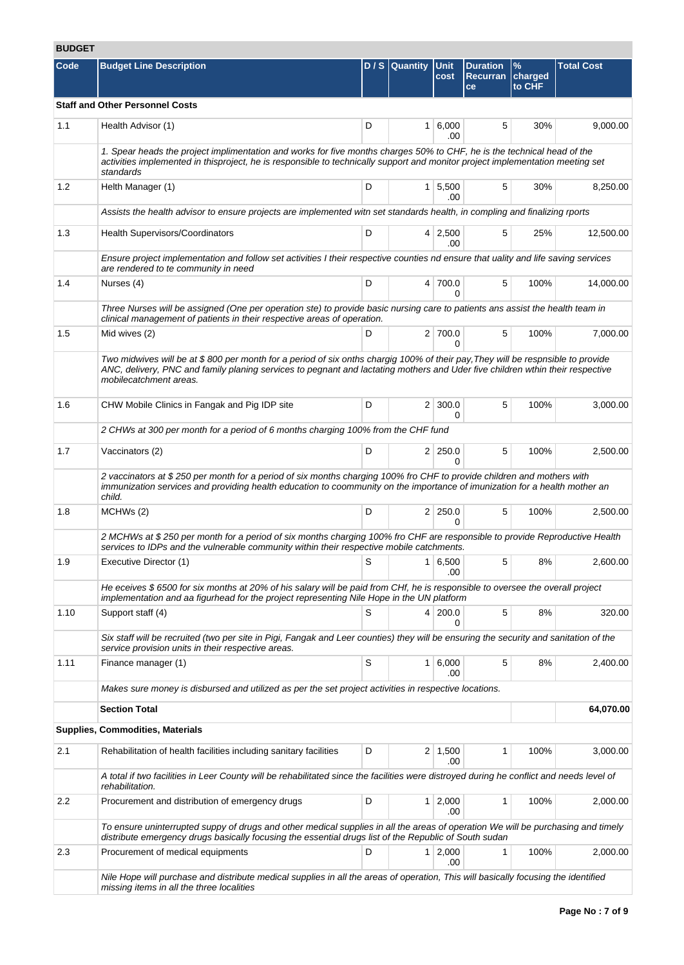# **BUDGET**

| Code | <b>Budget Line Description</b>                                                                                                                                                                                                                                                             |   | $D / S$ Quantity | <b>Unit</b><br>cost    | <b>Duration</b><br><b>Recurran</b><br>ce | %<br>charged<br>to CHF | <b>Total Cost</b> |  |  |
|------|--------------------------------------------------------------------------------------------------------------------------------------------------------------------------------------------------------------------------------------------------------------------------------------------|---|------------------|------------------------|------------------------------------------|------------------------|-------------------|--|--|
|      | <b>Staff and Other Personnel Costs</b>                                                                                                                                                                                                                                                     |   |                  |                        |                                          |                        |                   |  |  |
| 1.1  | Health Advisor (1)                                                                                                                                                                                                                                                                         | D |                  | 1 6,000<br>.00         | 5                                        | 30%                    | 9,000.00          |  |  |
|      | 1. Spear heads the project implimentation and works for five months charges 50% to CHF, he is the technical head of the<br>activities implemented in thisproject, he is responsible to technically support and monitor project implementation meeting set<br>standards                     |   |                  |                        |                                          |                        |                   |  |  |
| 1.2  | Helth Manager (1)                                                                                                                                                                                                                                                                          | D |                  | $1 \mid 5,500$<br>.00  | 5                                        | 30%                    | 8,250.00          |  |  |
|      | Assists the health advisor to ensure projects are implemented witn set standards health, in compling and finalizing rports                                                                                                                                                                 |   |                  |                        |                                          |                        |                   |  |  |
| 1.3  | Health Supervisors/Coordinators                                                                                                                                                                                                                                                            | D |                  | $4 \mid 2,500$<br>.00  | 5                                        | 25%                    | 12,500.00         |  |  |
|      | Ensure project implementation and follow set activities I their respective counties nd ensure that uality and life saving services<br>are rendered to te community in need                                                                                                                 |   |                  |                        |                                          |                        |                   |  |  |
| 1.4  | Nurses (4)                                                                                                                                                                                                                                                                                 | D |                  | 4 700.0<br>O           | 5                                        | 100%                   | 14,000.00         |  |  |
|      | Three Nurses will be assigned (One per operation ste) to provide basic nursing care to patients ans assist the health team in<br>clinical management of patients in their respective areas of operation.                                                                                   |   |                  |                        |                                          |                        |                   |  |  |
| 1.5  | Mid wives (2)                                                                                                                                                                                                                                                                              | D |                  | 2 700.0<br>0           | 5                                        | 100%                   | 7,000.00          |  |  |
|      | Two midwives will be at \$800 per month for a period of six onths chargig 100% of their pay, They will be respnsible to provide<br>ANC, delivery, PNC and family planing services to pegnant and lactating mothers and Uder five children wthin their respective<br>mobilecatchment areas. |   |                  |                        |                                          |                        |                   |  |  |
| 1.6  | CHW Mobile Clinics in Fangak and Pig IDP site                                                                                                                                                                                                                                              | D |                  | $2 \mid 300.0$<br>0    | 5                                        | 100%                   | 3,000.00          |  |  |
|      | 2 CHWs at 300 per month for a period of 6 months charging 100% from the CHF fund                                                                                                                                                                                                           |   |                  |                        |                                          |                        |                   |  |  |
| 1.7  | Vaccinators (2)                                                                                                                                                                                                                                                                            | D |                  | 2 250.0<br>$\Omega$    | 5                                        | 100%                   | 2,500.00          |  |  |
|      | 2 vaccinators at \$250 per month for a period of six months charging 100% fro CHF to provide children and mothers with<br>immunization services and providing health education to coommunity on the importance of imunization for a health mother an<br>child.                             |   |                  |                        |                                          |                        |                   |  |  |
| 1.8  | MCHWs (2)                                                                                                                                                                                                                                                                                  | D |                  | $2 \mid 250.0$<br>0    | 5                                        | 100%                   | 2,500.00          |  |  |
|      | 2 MCHWs at \$250 per month for a period of six months charging 100% fro CHF are responsible to provide Reproductive Health<br>services to IDPs and the vulnerable community within their respective mobile catchments.                                                                     |   |                  |                        |                                          |                        |                   |  |  |
| 1.9  | Executive Director (1)                                                                                                                                                                                                                                                                     | S |                  | $1 \ 6,500$<br>.00     | 5                                        | 8%                     | 2,600.00          |  |  |
|      | He eceives \$6500 for six months at 20% of his salary will be paid from CHf, he is responsible to oversee the overall project<br>implementation and aa figurhead for the project representing Nile Hope in the UN platform                                                                 |   |                  |                        |                                          |                        |                   |  |  |
| 1.10 | Support staff (4)                                                                                                                                                                                                                                                                          | S |                  | 4 200.0<br>0           | 5                                        | 8%                     | 320.00            |  |  |
|      | Six staff will be recruited (two per site in Pigi, Fangak and Leer counties) they will be ensuring the security and sanitation of the<br>service provision units in their respective areas.                                                                                                |   |                  |                        |                                          |                        |                   |  |  |
| 1.11 | Finance manager (1)                                                                                                                                                                                                                                                                        | S |                  | $1 \ 6,000$<br>.00     | 5                                        | 8%                     | 2,400.00          |  |  |
|      | Makes sure money is disbursed and utilized as per the set project activities in respective locations.                                                                                                                                                                                      |   |                  |                        |                                          |                        |                   |  |  |
|      | <b>Section Total</b>                                                                                                                                                                                                                                                                       |   |                  |                        |                                          |                        | 64,070.00         |  |  |
|      | <b>Supplies, Commodities, Materials</b>                                                                                                                                                                                                                                                    |   |                  |                        |                                          |                        |                   |  |  |
| 2.1  | Rehabilitation of health facilities including sanitary facilities                                                                                                                                                                                                                          | D |                  | $2 \mid 1,500$<br>.00  | 1                                        | 100%                   | 3,000.00          |  |  |
|      | A total if two facilities in Leer County will be rehabilitated since the facilities were distroyed during he conflict and needs level of<br>rehabilitation.                                                                                                                                |   |                  |                        |                                          |                        |                   |  |  |
| 2.2  | Procurement and distribution of emergency drugs                                                                                                                                                                                                                                            | D |                  | $1 \quad 2,000$<br>.00 | 1                                        | 100%                   | 2,000.00          |  |  |
|      | To ensure uninterrupted suppy of drugs and other medical supplies in all the areas of operation We will be purchasing and timely<br>distribute emergency drugs basically focusing the essential drugs list of the Republic of South sudan                                                  |   |                  |                        |                                          |                        |                   |  |  |
| 2.3  | Procurement of medical equipments                                                                                                                                                                                                                                                          | D |                  | $1 \mid 2,000$<br>.00  | 1                                        | 100%                   | 2,000.00          |  |  |
|      | Nile Hope will purchase and distribute medical supplies in all the areas of operation, This will basically focusing the identified<br>missing items in all the three localities                                                                                                            |   |                  |                        |                                          |                        |                   |  |  |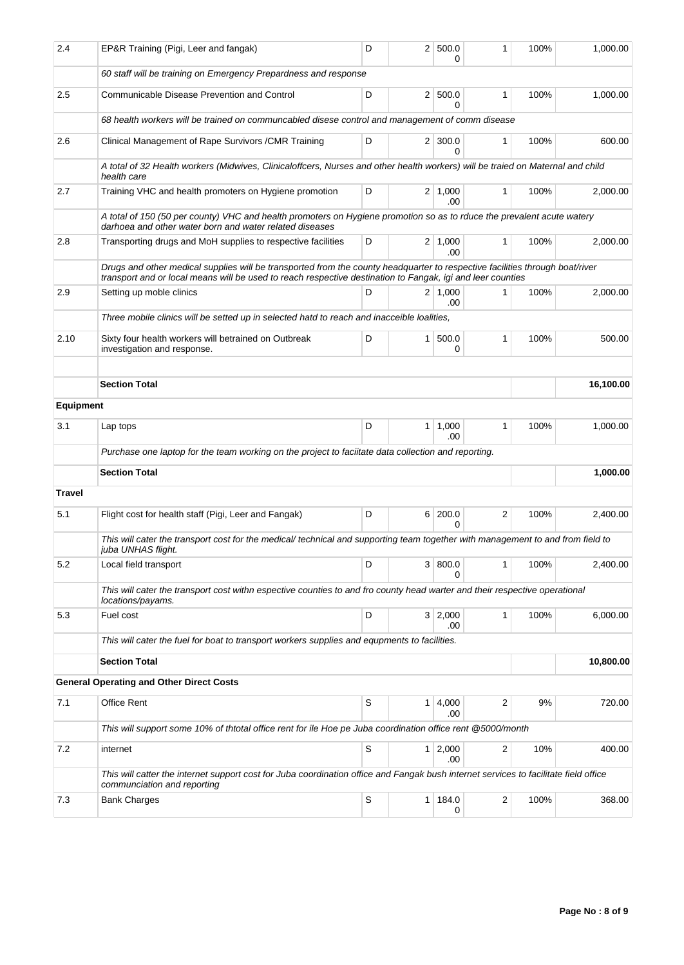| 2.4              | EP&R Training (Pigi, Leer and fangak)                                                                                                                                                                                                      | D |           | 2   500.0<br>0        | 1 | 100% | 1,000.00  |  |  |
|------------------|--------------------------------------------------------------------------------------------------------------------------------------------------------------------------------------------------------------------------------------------|---|-----------|-----------------------|---|------|-----------|--|--|
|                  | 60 staff will be training on Emergency Prepardness and response                                                                                                                                                                            |   |           |                       |   |      |           |  |  |
| 2.5              | Communicable Disease Prevention and Control                                                                                                                                                                                                | D |           | 2   500.0<br>0        | 1 | 100% | 1,000.00  |  |  |
|                  | 68 health workers will be trained on communcabled disese control and management of comm disease                                                                                                                                            |   |           |                       |   |      |           |  |  |
| 2.6              | Clinical Management of Rape Survivors / CMR Training                                                                                                                                                                                       | D |           | $2 \mid 300.0$<br>0   | 1 | 100% | 600.00    |  |  |
|                  | A total of 32 Health workers (Midwives, Clinicaloffcers, Nurses and other health workers) will be traied on Maternal and child<br>health care                                                                                              |   |           |                       |   |      |           |  |  |
| 2.7              | Training VHC and health promoters on Hygiene promotion                                                                                                                                                                                     | D |           | 2 1,000<br>.00        | 1 | 100% | 2,000.00  |  |  |
|                  | A total of 150 (50 per county) VHC and health promoters on Hygiene promotion so as to rduce the prevalent acute watery<br>darhoea and other water born and water related diseases                                                          |   |           |                       |   |      |           |  |  |
| 2.8              | Transporting drugs and MoH supplies to respective facilities                                                                                                                                                                               | D |           | $2 \mid 1,000$<br>.00 | 1 | 100% | 2,000.00  |  |  |
|                  | Drugs and other medical supplies will be transported from the county headquarter to respective facilities through boat/river<br>transport and or local means will be used to reach respective destination to Fangak, igi and leer counties |   |           |                       |   |      |           |  |  |
| 2.9              | Setting up moble clinics                                                                                                                                                                                                                   | D |           | $2 \mid 1.000$<br>.00 | 1 | 100% | 2.000.00  |  |  |
|                  | Three mobile clinics will be setted up in selected hatd to reach and inacceible loalities,                                                                                                                                                 |   |           |                       |   |      |           |  |  |
| 2.10             | Sixty four health workers will betrained on Outbreak<br>investigation and response.                                                                                                                                                        | D |           | 1 500.0<br>0          | 1 | 100% | 500.00    |  |  |
|                  |                                                                                                                                                                                                                                            |   |           |                       |   |      |           |  |  |
|                  | <b>Section Total</b>                                                                                                                                                                                                                       |   |           |                       |   |      | 16,100.00 |  |  |
| <b>Equipment</b> |                                                                                                                                                                                                                                            |   |           |                       |   |      |           |  |  |
| 3.1              | Lap tops                                                                                                                                                                                                                                   | D |           | 1   1,000<br>.00      | 1 | 100% | 1,000.00  |  |  |
|                  | Purchase one laptop for the team working on the project to faciitate data collection and reporting.                                                                                                                                        |   |           |                       |   |      |           |  |  |
|                  | <b>Section Total</b>                                                                                                                                                                                                                       |   | 1,000.00  |                       |   |      |           |  |  |
| Travel           |                                                                                                                                                                                                                                            |   |           |                       |   |      |           |  |  |
| 5.1              | Flight cost for health staff (Pigi, Leer and Fangak)                                                                                                                                                                                       | D |           | 6 200.0<br>0          | 2 | 100% | 2,400.00  |  |  |
|                  | This will cater the transport cost for the medical/ technical and supporting team together with management to and from field to<br>juba UNHAS flight.                                                                                      |   |           |                       |   |      |           |  |  |
| 5.2              | Local field transport                                                                                                                                                                                                                      | D |           | 3   800.0             | 1 | 100% | 2,400.00  |  |  |
|                  | This will cater the transport cost withn espective counties to and fro county head warter and their respective operational<br>locations/payams.                                                                                            |   |           |                       |   |      |           |  |  |
| 5.3              | Fuel cost                                                                                                                                                                                                                                  | D |           | 3   2,000<br>.00      | 1 | 100% | 6,000.00  |  |  |
|                  | This will cater the fuel for boat to transport workers supplies and equpments to facilities.                                                                                                                                               |   |           |                       |   |      |           |  |  |
|                  | <b>Section Total</b>                                                                                                                                                                                                                       |   | 10,800.00 |                       |   |      |           |  |  |
|                  | <b>General Operating and Other Direct Costs</b>                                                                                                                                                                                            |   |           |                       |   |      |           |  |  |
| 7.1              | Office Rent                                                                                                                                                                                                                                | S |           | 1   4,000<br>.00      | 2 | 9%   | 720.00    |  |  |
|                  | This will support some 10% of thtotal office rent for ile Hoe pe Juba coordination office rent @5000/month                                                                                                                                 |   |           |                       |   |      |           |  |  |
| 7.2              | internet                                                                                                                                                                                                                                   | S |           | $1 \ 2,000$<br>.00    | 2 | 10%  | 400.00    |  |  |
|                  | This will catter the internet support cost for Juba coordination office and Fangak bush internet services to facilitate field office<br>communciation and reporting                                                                        |   |           |                       |   |      |           |  |  |
| 7.3              | <b>Bank Charges</b>                                                                                                                                                                                                                        | S |           | 1   184.0<br>0        | 2 | 100% | 368.00    |  |  |